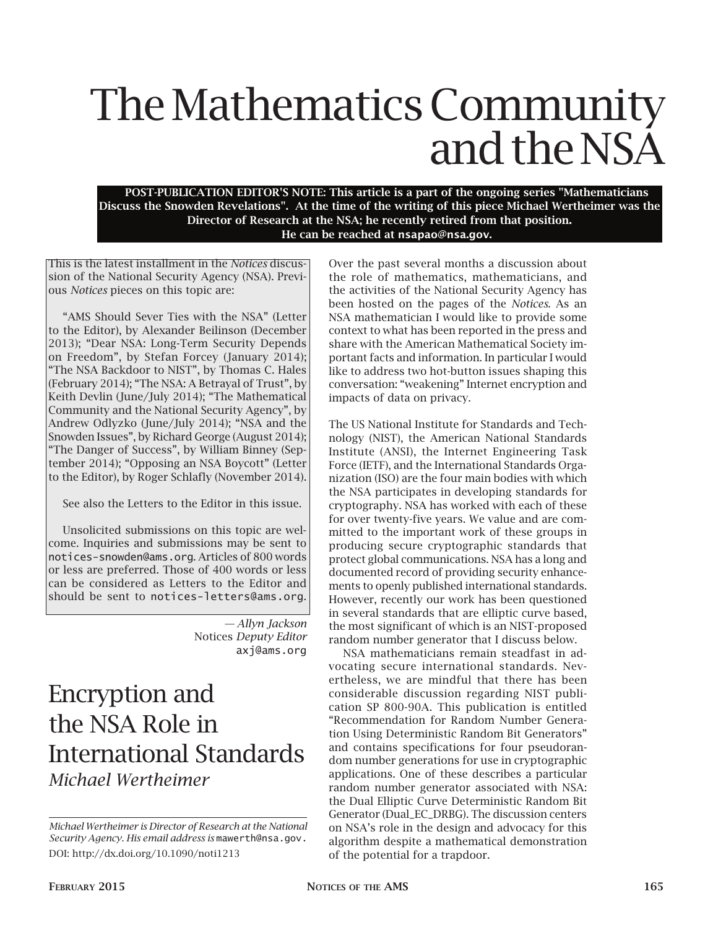## The Mathematics Community and the NSA

POST-PUBLICATION EDITOR'S NOTE: This article is a part of the ongoing series "Mathematicians Discuss the Snowden Revelations". At the time of the writing of this piece Michael Wertheimer was the Director of Research at the NSA; he recently retired from that position. He can be reached at nsapao@nsa.gov.

This is the latest installment in the *Notices* discussion of the National Security Agency (NSA). Previous *Notices* pieces on this topic are:

"AMS Should Sever Ties with the NSA" (Letter to the Editor), by Alexander Beilinson (December 2013); "Dear NSA: Long-Term Security Depends on Freedom", by Stefan Forcey (January 2014); "The NSA Backdoor to NIST", by Thomas C. Hales (February 2014); "The NSA: A Betrayal of Trust", by Keith Devlin (June/July 2014); "The Mathematical Community and the National Security Agency", by Andrew Odlyzko (June/July 2014); "NSA and the Snowden Issues", by Richard George (August 2014); "The Danger of Success", by William Binney (September 2014); "Opposing an NSA Boycott" (Letter to the Editor), by Roger Schlafly (November 2014).

See also the Letters to the Editor in this issue.

Unsolicited submissions on this topic are welcome. Inquiries and submissions may be sent to notices-snowden@ams.org. Articles of 800 words or less are preferred. Those of 400 words or less can be considered as Letters to the Editor and should be sent to notices-letters@ams.org.

> *— Allyn Jackson* Notices *Deputy Editor* axj@ams.org

## Encryption and the NSA Role in International Standards *Michael Wertheimer*

Over the past several months a discussion about the role of mathematics, mathematicians, and the activities of the National Security Agency has been hosted on the pages of the *Notices*. As an NSA mathematician I would like to provide some context to what has been reported in the press and share with the American Mathematical Society important facts and information. In particular I would like to address two hot-button issues shaping this conversation: "weakening" Internet encryption and impacts of data on privacy.

The US National Institute for Standards and Technology (NIST), the American National Standards Institute (ANSI), the Internet Engineering Task Force (IETF), and the International Standards Organization (ISO) are the four main bodies with which the NSA participates in developing standards for cryptography. NSA has worked with each of these for over twenty-five years. We value and are committed to the important work of these groups in producing secure cryptographic standards that protect global communications. NSA has a long and documented record of providing security enhancements to openly published international standards. However, recently our work has been questioned in several standards that are elliptic curve based, the most significant of which is an NIST-proposed random number generator that I discuss below.

NSA mathematicians remain steadfast in advocating secure international standards. Nevertheless, we are mindful that there has been considerable discussion regarding NIST publication SP 800-90A. This publication is entitled "Recommendation for Random Number Generation Using Deterministic Random Bit Generators" and contains specifications for four pseudorandom number generations for use in cryptographic applications. One of these describes a particular random number generator associated with NSA: the Dual Elliptic Curve Deterministic Random Bit Generator (Dual\_EC\_DRBG). The discussion centers on NSA's role in the design and advocacy for this algorithm despite a mathematical demonstration of the potential for a trapdoor.

*Michael Wertheimer is Director of Research at the National Security Agency. His email address is* mawerth@nsa.gov. DOI: http://dx.doi.org/10.1090/noti1213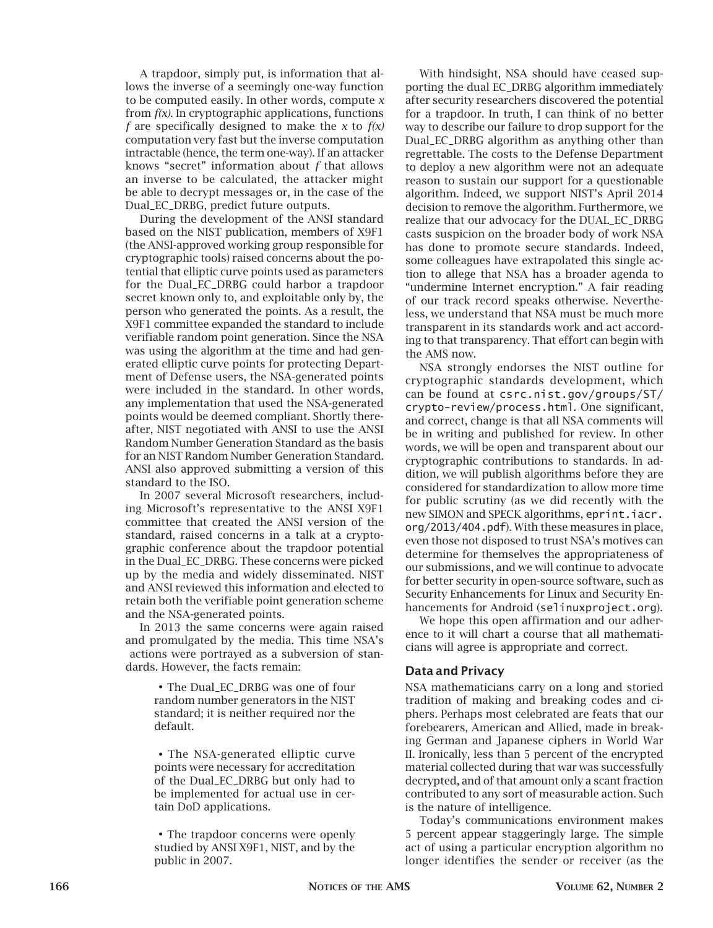A trapdoor, simply put, is information that allows the inverse of a seemingly one-way function to be computed easily. In other words, compute *x*  from *f(x)*. In cryptographic applications, functions *f* are specifically designed to make the *x* to *f(x)*  computation very fast but the inverse computation intractable (hence, the term one-way). If an attacker knows "secret" information about *f* that allows an inverse to be calculated, the attacker might be able to decrypt messages or, in the case of the Dual\_EC\_DRBG, predict future outputs.

During the development of the ANSI standard based on the NIST publication, members of X9F1 (the ANSI-approved working group responsible for cryptographic tools) raised concerns about the potential that elliptic curve points used as parameters for the Dual\_EC\_DRBG could harbor a trapdoor secret known only to, and exploitable only by, the person who generated the points. As a result, the X9F1 committee expanded the standard to include verifiable random point generation. Since the NSA was using the algorithm at the time and had generated elliptic curve points for protecting Department of Defense users, the NSA-generated points were included in the standard. In other words, any implementation that used the NSA-generated points would be deemed compliant. Shortly thereafter, NIST negotiated with ANSI to use the ANSI Random Number Generation Standard as the basis for an NIST Random Number Generation Standard. ANSI also approved submitting a version of this standard to the ISO.

In 2007 several Microsoft researchers, including Microsoft's representative to the ANSI X9F1 committee that created the ANSI version of the standard, raised concerns in a talk at a cryptographic conference about the trapdoor potential in the Dual\_EC\_DRBG. These concerns were picked up by the media and widely disseminated. NIST and ANSI reviewed this information and elected to retain both the verifiable point generation scheme and the NSA-generated points.

In 2013 the same concerns were again raised and promulgated by the media. This time NSA's actions were portrayed as a subversion of standards. However, the facts remain:

> •The Dual\_EC\_DRBG was one of four random number generators in the NIST standard; it is neither required nor the default.

> • The NSA-generated elliptic curve points were necessary for accreditation of the Dual\_EC\_DRBG but only had to be implemented for actual use in certain DoD applications.

> • The trapdoor concerns were openly studied by ANSI X9F1, NIST, and by the public in 2007.

With hindsight, NSA should have ceased supporting the dual EC\_DRBG algorithm immediately after security researchers discovered the potential for a trapdoor. In truth, I can think of no better way to describe our failure to drop support for the Dual\_EC\_DRBG algorithm as anything other than regrettable. The costs to the Defense Department to deploy a new algorithm were not an adequate reason to sustain our support for a questionable algorithm. Indeed, we support NIST's April 2014 decision to remove the algorithm. Furthermore, we realize that our advocacy for the DUAL\_EC\_DRBG casts suspicion on the broader body of work NSA has done to promote secure standards. Indeed, some colleagues have extrapolated this single action to allege that NSA has a broader agenda to "undermine Internet encryption." A fair reading of our track record speaks otherwise. Nevertheless, we understand that NSA must be much more transparent in its standards work and act according to that transparency. That effort can begin with the AMS now.

NSA strongly endorses the NIST outline for cryptographic standards development, which can be found at csrc.nist.gov/groups/ST/ crypto-review/process.html. One significant, and correct, change is that all NSA comments will be in writing and published for review. In other words, we will be open and transparent about our cryptographic contributions to standards. In addition, we will publish algorithms before they are considered for standardization to allow more time for public scrutiny (as we did recently with the new SIMON and SPECK algorithms, eprint.iacr. org/2013/404.pdf). With these measures in place, even those not disposed to trust NSA's motives can determine for themselves the appropriateness of our submissions, and we will continue to advocate for better security in open-source software, such as Security Enhancements for Linux and Security Enhancements for Android (selinuxproject.org).

We hope this open affirmation and our adherence to it will chart a course that all mathematicians will agree is appropriate and correct.

## Data and Privacy

NSA mathematicians carry on a long and storied tradition of making and breaking codes and ciphers. Perhaps most celebrated are feats that our forebearers, American and Allied, made in breaking German and Japanese ciphers in World War II. Ironically, less than 5 percent of the encrypted material collected during that war was successfully decrypted, and of that amount only a scant fraction contributed to any sort of measurable action. Such is the nature of intelligence.

Today's communications environment makes 5 percent appear staggeringly large. The simple act of using a particular encryption algorithm no longer identifies the sender or receiver (as the